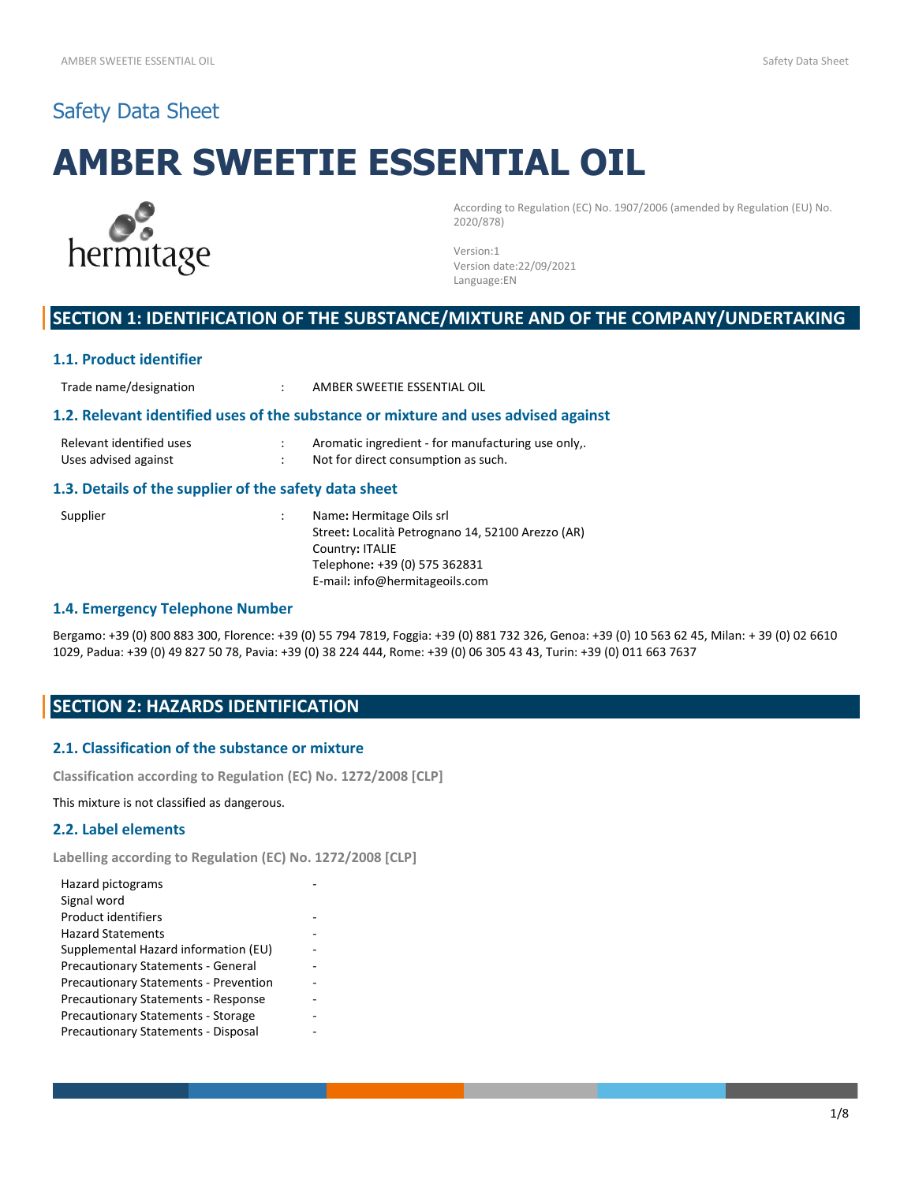# Safety Data Sheet

# **AMBER SWEETIE ESSENTIAL OIL**



According to Regulation (EC) No. 1907/2006 (amended by Regulation (EU) No. 2020/878)

Version:1 Version date:22/09/2021 Language:EN

# **SECTION 1: IDENTIFICATION OF THE SUBSTANCE/MIXTURE AND OF THE COMPANY/UNDERTAKING**

#### **1.1. Product identifier**

Trade name/designation : AMBER SWEETIE ESSENTIAL OIL

#### **1.2. Relevant identified uses of the substance or mixture and uses advised against**

| Relevant identified uses | Aromatic ingredient - for manufacturing use only,. |
|--------------------------|----------------------------------------------------|
| Uses advised against     | Not for direct consumption as such.                |

#### **1.3. Details of the supplier of the safety data sheet**

Supplier : Name: Hermitage Oils srl Street**:** Località Petrognano 14, 52100 Arezzo (AR) Country**:** ITALIE Telephone**:** +39 (0) 575 362831 E-mail**:** info@hermitageoils.com

## **1.4. Emergency Telephone Number**

Bergamo: +39 (0) 800 883 300, Florence: +39 (0) 55 794 7819, Foggia: +39 (0) 881 732 326, Genoa: +39 (0) 10 563 62 45, Milan: + 39 (0) 02 6610 1029, Padua: +39 (0) 49 827 50 78, Pavia: +39 (0) 38 224 444, Rome: +39 (0) 06 305 43 43, Turin: +39 (0) 011 663 7637

# **SECTION 2: HAZARDS IDENTIFICATION**

## **2.1. Classification of the substance or mixture**

**Classification according to Regulation (EC) No. 1272/2008 [CLP]**

This mixture is not classified as dangerous.

# **2.2. Label elements**

**Labelling according to Regulation (EC) No. 1272/2008 [CLP]**

| Hazard pictograms                            |  |
|----------------------------------------------|--|
| Signal word                                  |  |
| <b>Product identifiers</b>                   |  |
| <b>Hazard Statements</b>                     |  |
| Supplemental Hazard information (EU)         |  |
| <b>Precautionary Statements - General</b>    |  |
| <b>Precautionary Statements - Prevention</b> |  |
| <b>Precautionary Statements - Response</b>   |  |
| <b>Precautionary Statements - Storage</b>    |  |
| <b>Precautionary Statements - Disposal</b>   |  |
|                                              |  |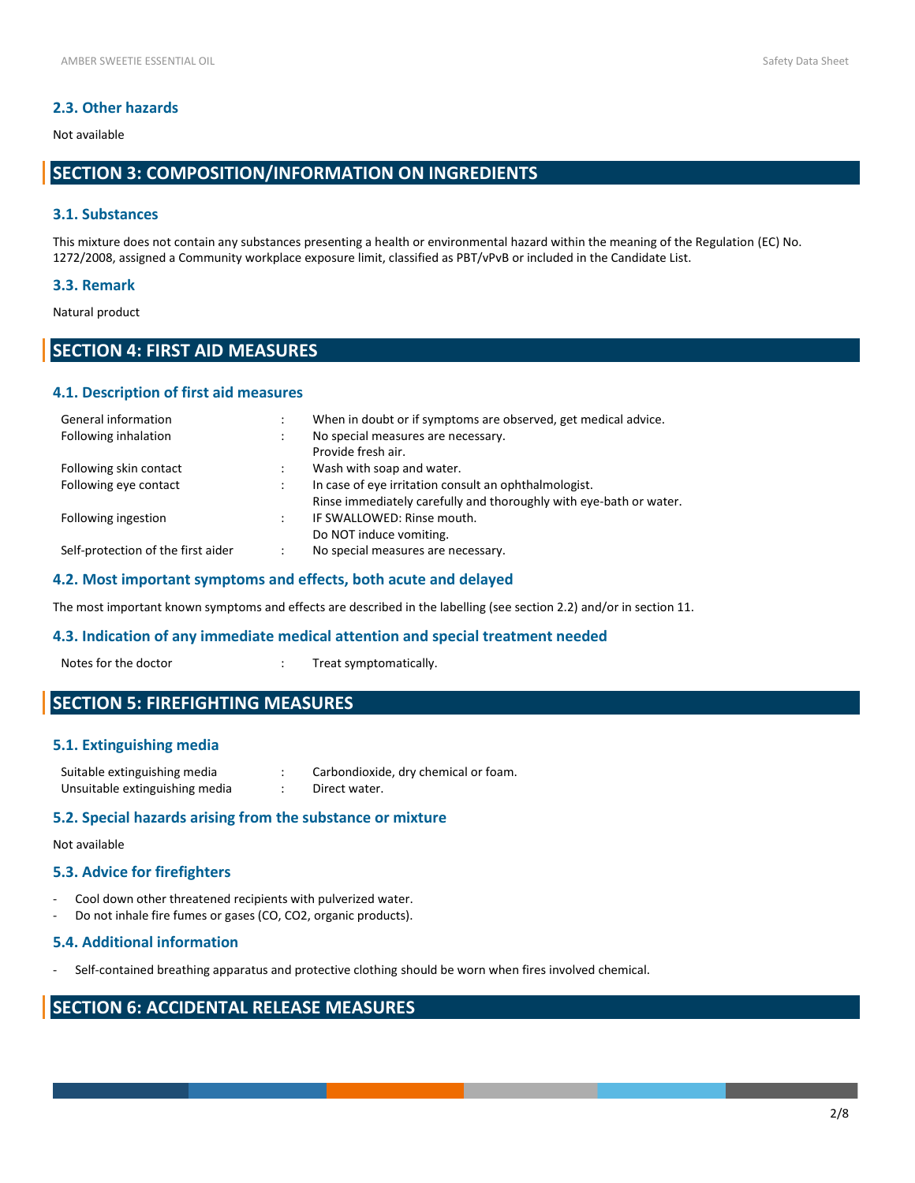# **2.3. Other hazards**

#### Not available

# **SECTION 3: COMPOSITION/INFORMATION ON INGREDIENTS**

## **3.1. Substances**

This mixture does not contain any substances presenting a health or environmental hazard within the meaning of the Regulation (EC) No. 1272/2008, assigned a Community workplace exposure limit, classified as PBT/vPvB or included in the Candidate List.

#### **3.3. Remark**

Natural product

# **SECTION 4: FIRST AID MEASURES**

# **4.1. Description of first aid measures**

| General information                | When in doubt or if symptoms are observed, get medical advice.     |
|------------------------------------|--------------------------------------------------------------------|
| Following inhalation               | No special measures are necessary.                                 |
|                                    | Provide fresh air.                                                 |
| Following skin contact             | Wash with soap and water.                                          |
| Following eye contact              | In case of eye irritation consult an ophthalmologist.              |
|                                    | Rinse immediately carefully and thoroughly with eye-bath or water. |
| Following ingestion                | IF SWALLOWED: Rinse mouth.                                         |
|                                    | Do NOT induce vomiting.                                            |
| Self-protection of the first aider | No special measures are necessary.                                 |

#### **4.2. Most important symptoms and effects, both acute and delayed**

The most important known symptoms and effects are described in the labelling (see section 2.2) and/or in section 11.

#### **4.3. Indication of any immediate medical attention and special treatment needed**

Notes for the doctor  $\cdot$  Treat symptomatically.

# **SECTION 5: FIREFIGHTING MEASURES**

## **5.1. Extinguishing media**

| Suitable extinguishing media   | Carbondioxide, dry chemical or foam. |
|--------------------------------|--------------------------------------|
| Unsuitable extinguishing media | Direct water.                        |

## **5.2. Special hazards arising from the substance or mixture**

#### Not available

## **5.3. Advice for firefighters**

- Cool down other threatened recipients with pulverized water.
- Do not inhale fire fumes or gases (CO, CO2, organic products).

#### **5.4. Additional information**

- Self-contained breathing apparatus and protective clothing should be worn when fires involved chemical.

# **SECTION 6: ACCIDENTAL RELEASE MEASURES**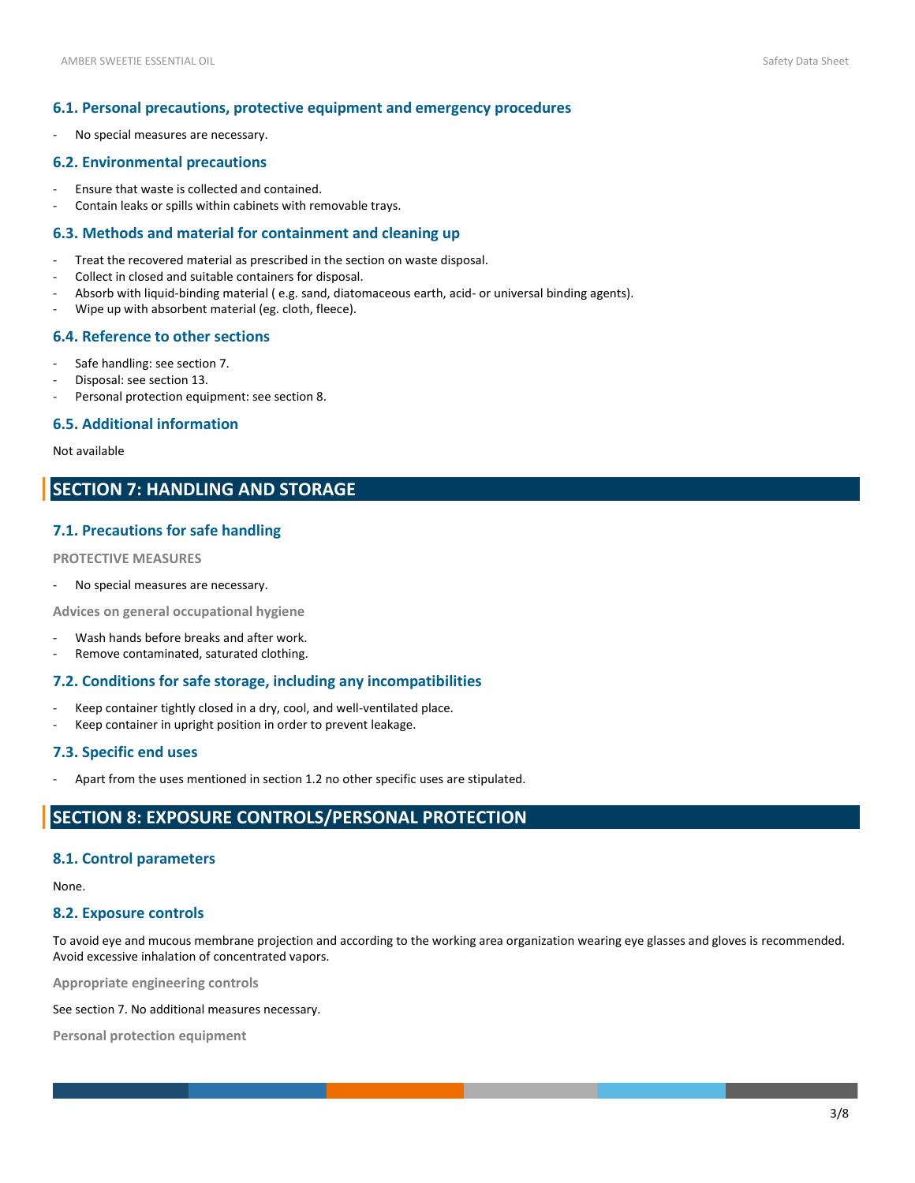## **6.1. Personal precautions, protective equipment and emergency procedures**

- No special measures are necessary.

## **6.2. Environmental precautions**

- Ensure that waste is collected and contained.
- Contain leaks or spills within cabinets with removable trays.

#### **6.3. Methods and material for containment and cleaning up**

- Treat the recovered material as prescribed in the section on waste disposal.
- Collect in closed and suitable containers for disposal.
- Absorb with liquid-binding material ( e.g. sand, diatomaceous earth, acid- or universal binding agents).
- Wipe up with absorbent material (eg. cloth, fleece).

# **6.4. Reference to other sections**

- Safe handling: see section 7.
- Disposal: see section 13.
- Personal protection equipment: see section 8.

## **6.5. Additional information**

# Not available

# **SECTION 7: HANDLING AND STORAGE**

# **7.1. Precautions for safe handling**

#### **PROTECTIVE MEASURES**

No special measures are necessary.

**Advices on general occupational hygiene**

- Wash hands before breaks and after work.
- Remove contaminated, saturated clothing.

## **7.2. Conditions for safe storage, including any incompatibilities**

- Keep container tightly closed in a dry, cool, and well-ventilated place.
- Keep container in upright position in order to prevent leakage.

## **7.3. Specific end uses**

Apart from the uses mentioned in section 1.2 no other specific uses are stipulated.

# **SECTION 8: EXPOSURE CONTROLS/PERSONAL PROTECTION**

#### **8.1. Control parameters**

None.

# **8.2. Exposure controls**

To avoid eye and mucous membrane projection and according to the working area organization wearing eye glasses and gloves is recommended. Avoid excessive inhalation of concentrated vapors.

**Appropriate engineering controls**

See section 7. No additional measures necessary.

**Personal protection equipment**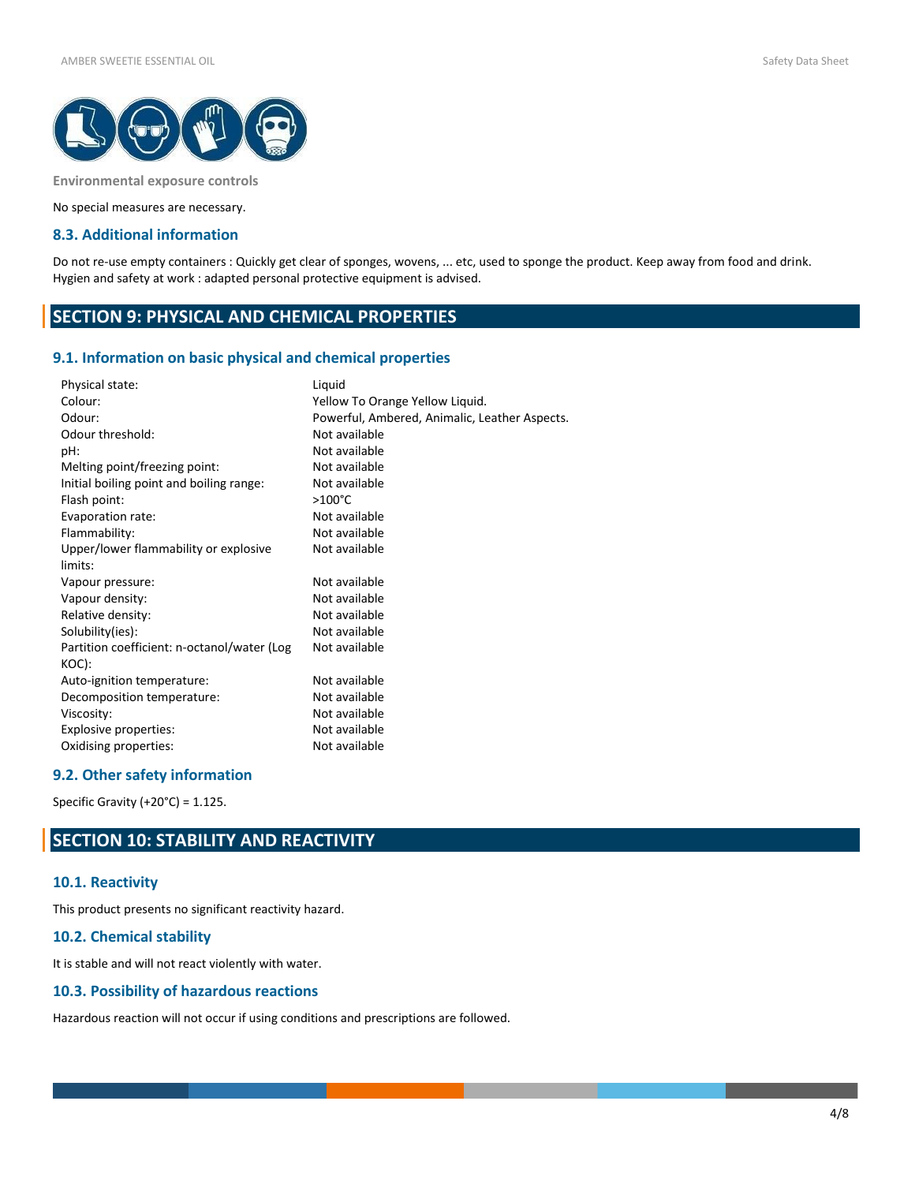

**Environmental exposure controls**

No special measures are necessary.

## **8.3. Additional information**

Do not re-use empty containers : Quickly get clear of sponges, wovens, ... etc, used to sponge the product. Keep away from food and drink. Hygien and safety at work : adapted personal protective equipment is advised.

# **SECTION 9: PHYSICAL AND CHEMICAL PROPERTIES**

#### **9.1. Information on basic physical and chemical properties**

| Physical state:                             | Liquid                                        |
|---------------------------------------------|-----------------------------------------------|
| Colour:                                     | Yellow To Orange Yellow Liquid.               |
| Odour:                                      | Powerful, Ambered, Animalic, Leather Aspects. |
| Odour threshold:                            | Not available                                 |
| pH:                                         | Not available                                 |
| Melting point/freezing point:               | Not available                                 |
| Initial boiling point and boiling range:    | Not available                                 |
| Flash point:                                | $>100^{\circ}$ C                              |
| Evaporation rate:                           | Not available                                 |
| Flammability:                               | Not available                                 |
| Upper/lower flammability or explosive       | Not available                                 |
| limits:                                     |                                               |
| Vapour pressure:                            | Not available                                 |
| Vapour density:                             | Not available                                 |
| Relative density:                           | Not available                                 |
| Solubility(ies):                            | Not available                                 |
| Partition coefficient: n-octanol/water (Log | Not available                                 |
| KOC):                                       |                                               |
| Auto-ignition temperature:                  | Not available                                 |
| Decomposition temperature:                  | Not available                                 |
| Viscosity:                                  | Not available                                 |
| Explosive properties:                       | Not available                                 |
| Oxidising properties:                       | Not available                                 |
|                                             |                                               |

# **9.2. Other safety information**

Specific Gravity (+20°C) = 1.125.

# **SECTION 10: STABILITY AND REACTIVITY**

#### **10.1. Reactivity**

This product presents no significant reactivity hazard.

#### **10.2. Chemical stability**

It is stable and will not react violently with water.

# **10.3. Possibility of hazardous reactions**

Hazardous reaction will not occur if using conditions and prescriptions are followed.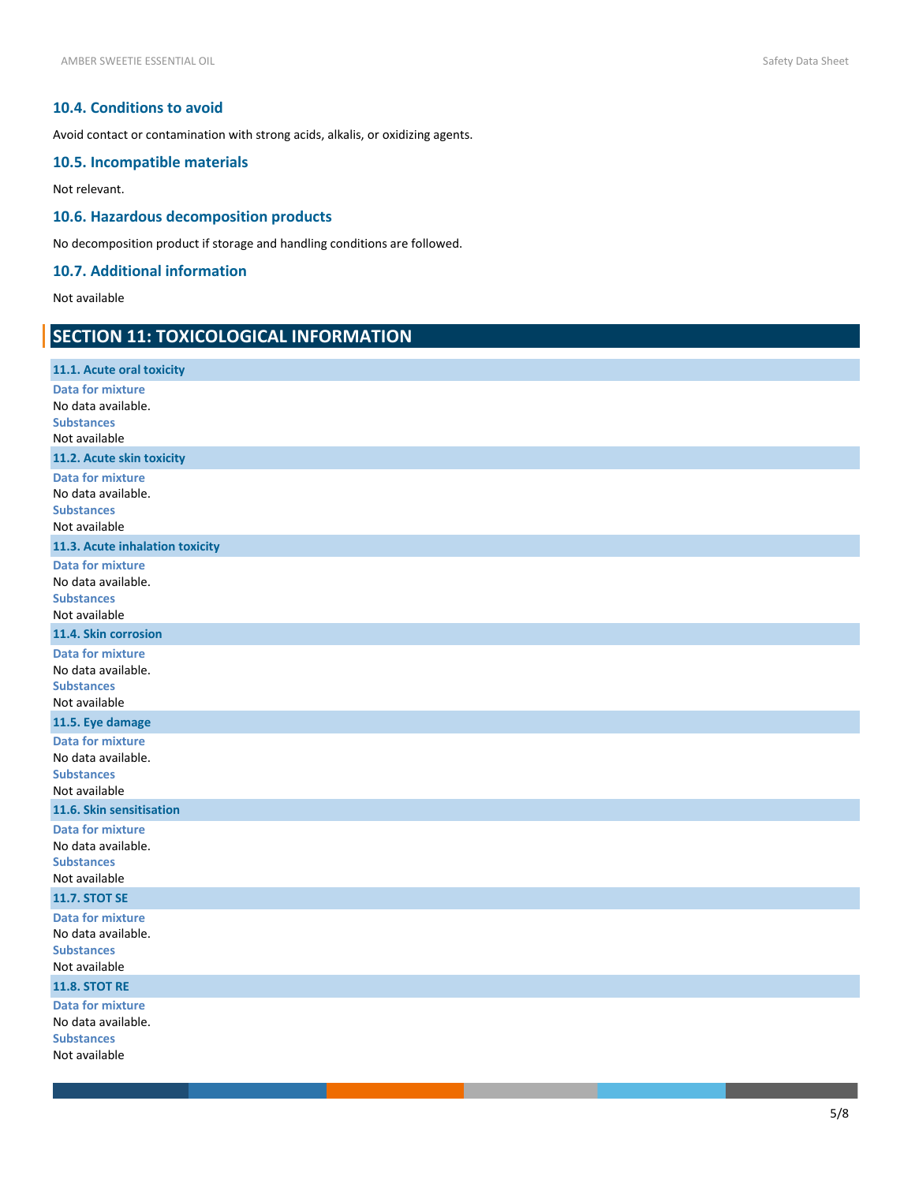# **10.4. Conditions to avoid**

Avoid contact or contamination with strong acids, alkalis, or oxidizing agents.

# **10.5. Incompatible materials**

Not relevant.

# **10.6. Hazardous decomposition products**

No decomposition product if storage and handling conditions are followed.

# **10.7. Additional information**

Not available

# **SECTION 11: TOXICOLOGICAL INFORMATION**

| 11.1. Acute oral toxicity               |
|-----------------------------------------|
| <b>Data for mixture</b>                 |
| No data available.<br><b>Substances</b> |
| Not available                           |
| 11.2. Acute skin toxicity               |
| <b>Data for mixture</b>                 |
| No data available.                      |
| <b>Substances</b><br>Not available      |
| 11.3. Acute inhalation toxicity         |
| <b>Data for mixture</b>                 |
| No data available.                      |
| <b>Substances</b>                       |
| Not available                           |
| 11.4. Skin corrosion                    |
| <b>Data for mixture</b>                 |
| No data available.<br><b>Substances</b> |
| Not available                           |
| 11.5. Eye damage                        |
| <b>Data for mixture</b>                 |
| No data available.                      |
| <b>Substances</b><br>Not available      |
| 11.6. Skin sensitisation                |
| <b>Data for mixture</b>                 |
| No data available.                      |
| <b>Substances</b>                       |
| Not available<br><b>11.7. STOT SE</b>   |
| <b>Data for mixture</b>                 |
| No data available.                      |
| <b>Substances</b>                       |
| Not available                           |
| <b>11.8. STOT RE</b>                    |
| <b>Data for mixture</b>                 |
| No data available.                      |
| <b>Substances</b><br>Not available      |
|                                         |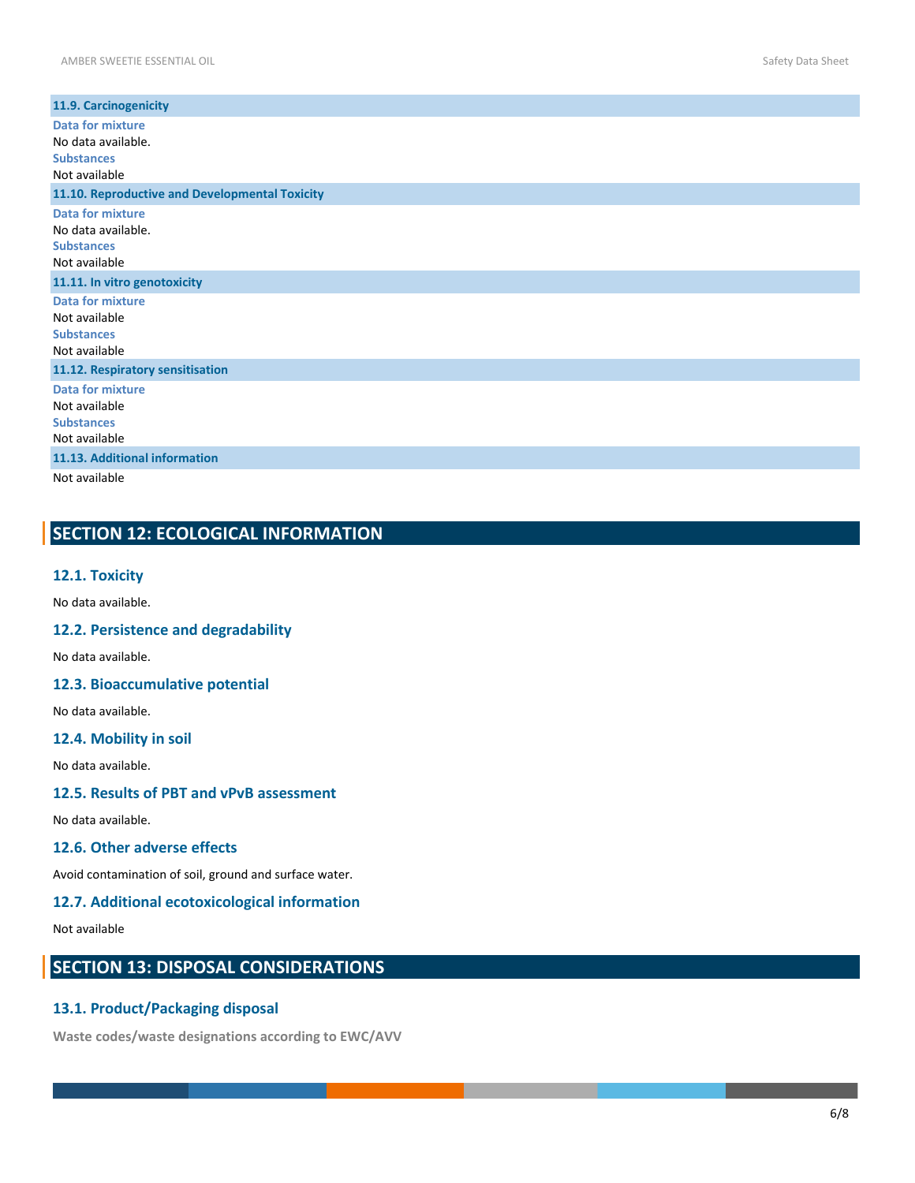| 11.9. Carcinogenicity                                                               |
|-------------------------------------------------------------------------------------|
| Data for mixture<br>No data available.<br><b>Substances</b><br>Not available        |
| 11.10. Reproductive and Developmental Toxicity                                      |
| <b>Data for mixture</b><br>No data available.<br><b>Substances</b><br>Not available |
| 11.11. In vitro genotoxicity                                                        |
| <b>Data for mixture</b><br>Not available<br><b>Substances</b><br>Not available      |
| 11.12. Respiratory sensitisation                                                    |
| <b>Data for mixture</b><br>Not available<br><b>Substances</b><br>Not available      |
| 11.13. Additional information                                                       |
| Not available                                                                       |

# **SECTION 12: ECOLOGICAL INFORMATION**

## **12.1. Toxicity**

No data available.

# **12.2. Persistence and degradability**

No data available.

# **12.3. Bioaccumulative potential**

No data available.

# **12.4. Mobility in soil**

No data available.

#### **12.5. Results of PBT and vPvB assessment**

No data available.

# **12.6. Other adverse effects**

Avoid contamination of soil, ground and surface water.

# **12.7. Additional ecotoxicological information**

Not available

# **SECTION 13: DISPOSAL CONSIDERATIONS**

# **13.1. Product/Packaging disposal**

**Waste codes/waste designations according to EWC/AVV**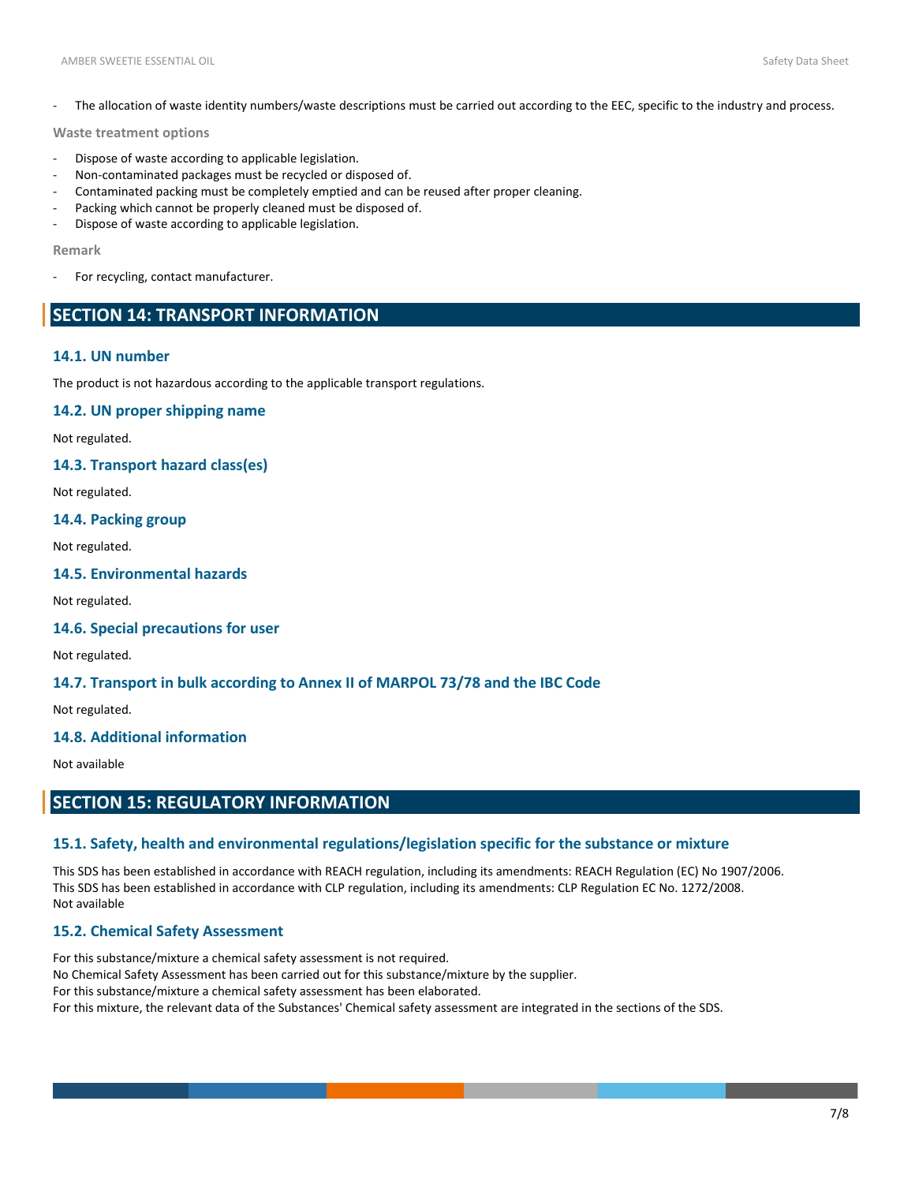The allocation of waste identity numbers/waste descriptions must be carried out according to the EEC, specific to the industry and process.

#### **Waste treatment options**

- Dispose of waste according to applicable legislation.
- Non-contaminated packages must be recycled or disposed of.
- Contaminated packing must be completely emptied and can be reused after proper cleaning.
- Packing which cannot be properly cleaned must be disposed of.
- Dispose of waste according to applicable legislation.

#### **Remark**

For recycling, contact manufacturer.

# **SECTION 14: TRANSPORT INFORMATION**

## **14.1. UN number**

The product is not hazardous according to the applicable transport regulations.

## **14.2. UN proper shipping name**

Not regulated.

#### **14.3. Transport hazard class(es)**

Not regulated.

## **14.4. Packing group**

Not regulated.

# **14.5. Environmental hazards**

Not regulated.

#### **14.6. Special precautions for user**

Not regulated.

## **14.7. Transport in bulk according to Annex II of MARPOL 73/78 and the IBC Code**

Not regulated.

# **14.8. Additional information**

Not available

# **SECTION 15: REGULATORY INFORMATION**

## **15.1. Safety, health and environmental regulations/legislation specific for the substance or mixture**

This SDS has been established in accordance with REACH regulation, including its amendments: REACH Regulation (EC) No 1907/2006. This SDS has been established in accordance with CLP regulation, including its amendments: CLP Regulation EC No. 1272/2008. Not available

## **15.2. Chemical Safety Assessment**

For this substance/mixture a chemical safety assessment is not required. No Chemical Safety Assessment has been carried out for this substance/mixture by the supplier. For this substance/mixture a chemical safety assessment has been elaborated. For this mixture, the relevant data of the Substances' Chemical safety assessment are integrated in the sections of the SDS.